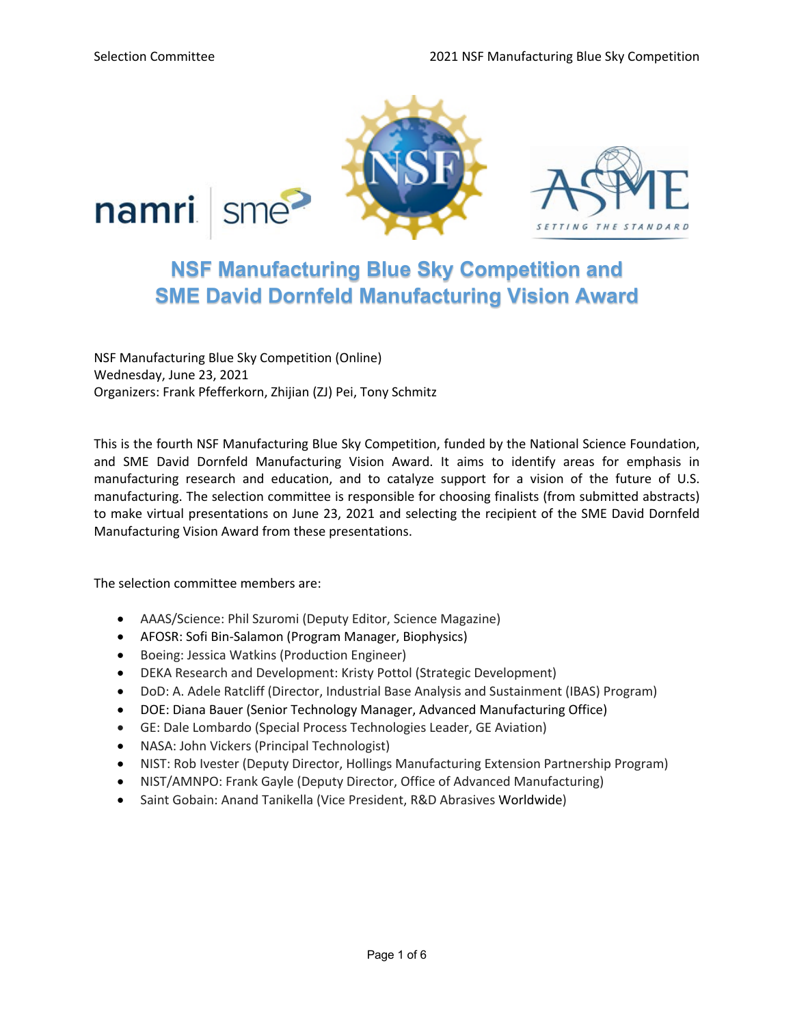

# **NSF Manufacturing Blue Sky Competition and SME David Dornfeld Manufacturing Vision Award**

NSF Manufacturing Blue Sky Competition (Online) Wednesday, June 23, 2021 Organizers: Frank Pfefferkorn, Zhijian (ZJ) Pei, Tony Schmitz

This is the fourth NSF Manufacturing Blue Sky Competition, funded by the National Science Foundation, and SME David Dornfeld Manufacturing Vision Award. It aims to identify areas for emphasis in manufacturing research and education, and to catalyze support for a vision of the future of U.S. manufacturing. The selection committee is responsible for choosing finalists (from submitted abstracts) to make virtual presentations on June 23, 2021 and selecting the recipient of the SME David Dornfeld Manufacturing Vision Award from these presentations.

The selection committee members are:

- AAAS/Science: Phil Szuromi (Deputy Editor, Science Magazine)
- AFOSR: Sofi Bin-Salamon (Program Manager, Biophysics)
- Boeing: Jessica Watkins (Production Engineer)
- DEKA Research and Development: Kristy Pottol (Strategic Development)
- DoD: A. Adele Ratcliff (Director, Industrial Base Analysis and Sustainment (IBAS) Program)
- DOE: Diana Bauer (Senior Technology Manager, Advanced Manufacturing Office)
- GE: Dale Lombardo (Special Process Technologies Leader, GE Aviation)
- NASA: John Vickers (Principal Technologist)
- NIST: Rob Ivester (Deputy Director, Hollings Manufacturing Extension Partnership Program)
- NIST/AMNPO: Frank Gayle (Deputy Director, Office of Advanced Manufacturing)
- Saint Gobain: Anand Tanikella (Vice President, R&D Abrasives Worldwide)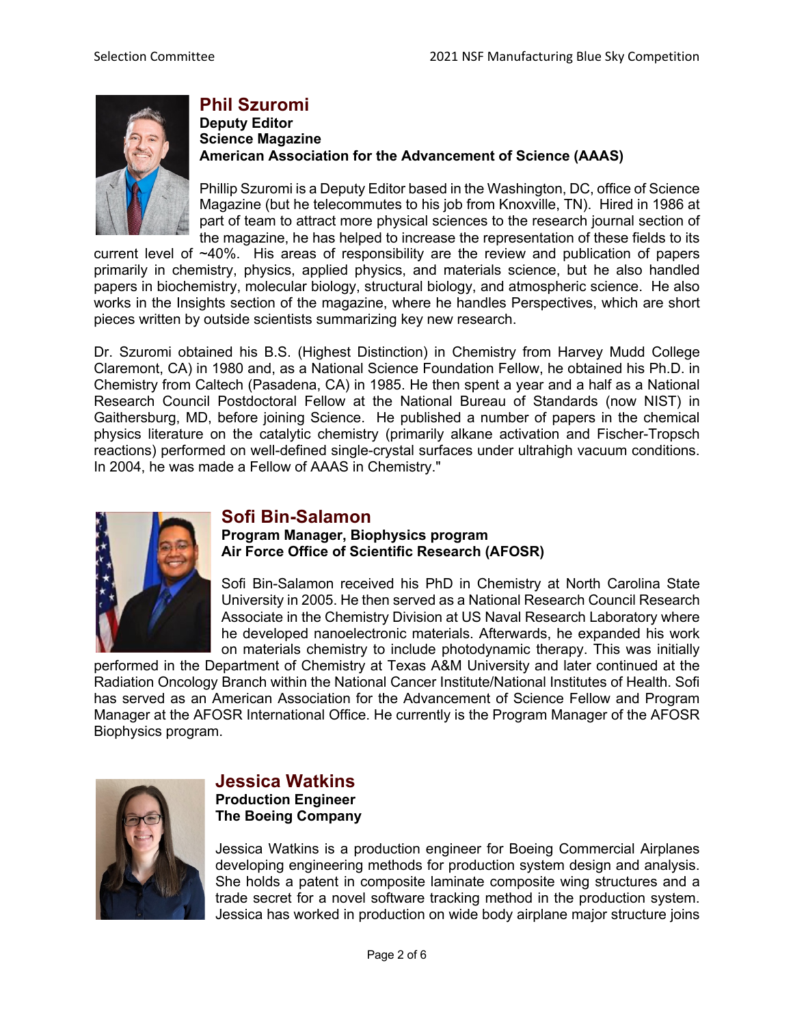

# **Phil Szuromi**

#### **Deputy Editor Science Magazine American Association for the Advancement of Science (AAAS)**

Phillip Szuromi is a Deputy Editor based in the Washington, DC, office of Science Magazine (but he telecommutes to his job from Knoxville, TN). Hired in 1986 at part of team to attract more physical sciences to the research journal section of the magazine, he has helped to increase the representation of these fields to its

current level of ~40%. His areas of responsibility are the review and publication of papers primarily in chemistry, physics, applied physics, and materials science, but he also handled papers in biochemistry, molecular biology, structural biology, and atmospheric science. He also works in the Insights section of the magazine, where he handles Perspectives, which are short pieces written by outside scientists summarizing key new research.

Dr. Szuromi obtained his B.S. (Highest Distinction) in Chemistry from Harvey Mudd College Claremont, CA) in 1980 and, as a National Science Foundation Fellow, he obtained his Ph.D. in Chemistry from Caltech (Pasadena, CA) in 1985. He then spent a year and a half as a National Research Council Postdoctoral Fellow at the National Bureau of Standards (now NIST) in Gaithersburg, MD, before joining Science. He published a number of papers in the chemical physics literature on the catalytic chemistry (primarily alkane activation and Fischer-Tropsch reactions) performed on well-defined single-crystal surfaces under ultrahigh vacuum conditions. In 2004, he was made a Fellow of AAAS in Chemistry."



### **Sofi Bin-Salamon**

#### **Program Manager, Biophysics program Air Force Office of Scientific Research (AFOSR)**

Sofi Bin-Salamon received his PhD in Chemistry at North Carolina State University in 2005. He then served as a National Research Council Research Associate in the Chemistry Division at US Naval Research Laboratory where he developed nanoelectronic materials. Afterwards, he expanded his work on materials chemistry to include photodynamic therapy. This was initially

performed in the Department of Chemistry at Texas A&M University and later continued at the Radiation Oncology Branch within the National Cancer Institute/National Institutes of Health. Sofi has served as an American Association for the Advancement of Science Fellow and Program Manager at the AFOSR International Office. He currently is the Program Manager of the AFOSR Biophysics program.



### **Jessica Watkins**

**Production Engineer The Boeing Company**

Jessica Watkins is a production engineer for Boeing Commercial Airplanes developing engineering methods for production system design and analysis. She holds a patent in composite laminate composite wing structures and a trade secret for a novel software tracking method in the production system. Jessica has worked in production on wide body airplane major structure joins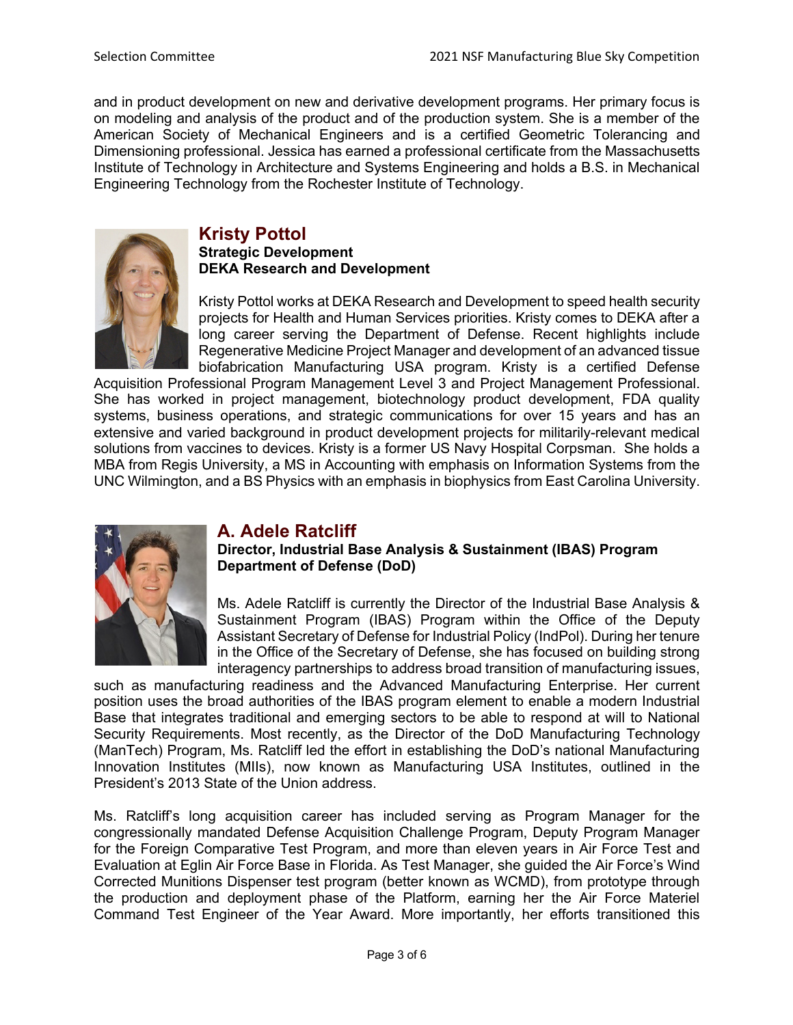and in product development on new and derivative development programs. Her primary focus is on modeling and analysis of the product and of the production system. She is a member of the American Society of Mechanical Engineers and is a certified Geometric Tolerancing and Dimensioning professional. Jessica has earned a professional certificate from the Massachusetts Institute of Technology in Architecture and Systems Engineering and holds a B.S. in Mechanical Engineering Technology from the Rochester Institute of Technology.



# **Kristy Pottol**

**Strategic Development DEKA Research and Development**

Kristy Pottol works at DEKA Research and Development to speed health security projects for Health and Human Services priorities. Kristy comes to DEKA after a long career serving the Department of Defense. Recent highlights include Regenerative Medicine Project Manager and development of an advanced tissue biofabrication Manufacturing USA program. Kristy is a certified Defense

Acquisition Professional Program Management Level 3 and Project Management Professional. She has worked in project management, biotechnology product development, FDA quality systems, business operations, and strategic communications for over 15 years and has an extensive and varied background in product development projects for militarily-relevant medical solutions from vaccines to devices. Kristy is a former US Navy Hospital Corpsman. She holds a MBA from Regis University, a MS in Accounting with emphasis on Information Systems from the UNC Wilmington, and a BS Physics with an emphasis in biophysics from East Carolina University.



# **A. Adele Ratcliff**

**Director, Industrial Base Analysis & Sustainment (IBAS) Program Department of Defense (DoD)**

Ms. Adele Ratcliff is currently the Director of the Industrial Base Analysis & Sustainment Program (IBAS) Program within the Office of the Deputy Assistant Secretary of Defense for Industrial Policy (IndPol). During her tenure in the Office of the Secretary of Defense, she has focused on building strong interagency partnerships to address broad transition of manufacturing issues,

such as manufacturing readiness and the Advanced Manufacturing Enterprise. Her current position uses the broad authorities of the IBAS program element to enable a modern Industrial Base that integrates traditional and emerging sectors to be able to respond at will to National Security Requirements. Most recently, as the Director of the DoD Manufacturing Technology (ManTech) Program, Ms. Ratcliff led the effort in establishing the DoD's national Manufacturing Innovation Institutes (MIIs), now known as Manufacturing USA Institutes, outlined in the President's 2013 State of the Union address.

Ms. Ratcliff's long acquisition career has included serving as Program Manager for the congressionally mandated Defense Acquisition Challenge Program, Deputy Program Manager for the Foreign Comparative Test Program, and more than eleven years in Air Force Test and Evaluation at Eglin Air Force Base in Florida. As Test Manager, she guided the Air Force's Wind Corrected Munitions Dispenser test program (better known as WCMD), from prototype through the production and deployment phase of the Platform, earning her the Air Force Materiel Command Test Engineer of the Year Award. More importantly, her efforts transitioned this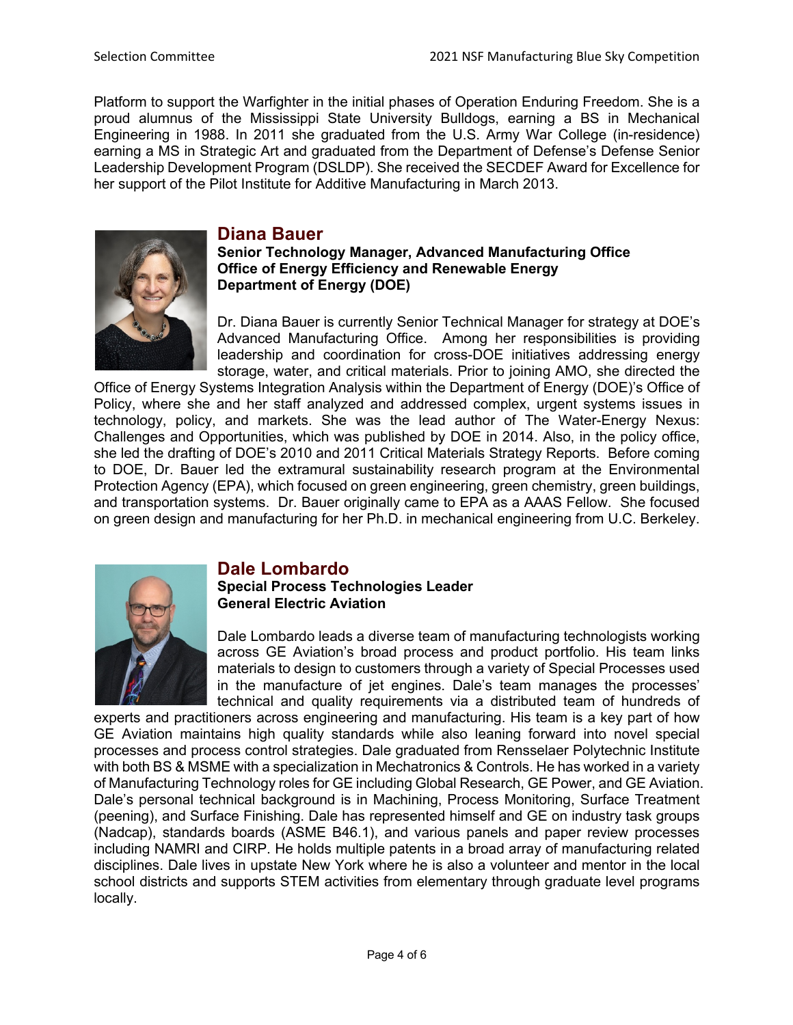Platform to support the Warfighter in the initial phases of Operation Enduring Freedom. She is a proud alumnus of the Mississippi State University Bulldogs, earning a BS in Mechanical Engineering in 1988. In 2011 she graduated from the U.S. Army War College (in-residence) earning a MS in Strategic Art and graduated from the Department of Defense's Defense Senior Leadership Development Program (DSLDP). She received the SECDEF Award for Excellence for her support of the Pilot Institute for Additive Manufacturing in March 2013.



# **Diana Bauer**

#### **Senior Technology Manager, Advanced Manufacturing Office Office of Energy Efficiency and Renewable Energy Department of Energy (DOE)**

Dr. Diana Bauer is currently Senior Technical Manager for strategy at DOE's Advanced Manufacturing Office. Among her responsibilities is providing leadership and coordination for cross-DOE initiatives addressing energy storage, water, and critical materials. Prior to joining AMO, she directed the

Office of Energy Systems Integration Analysis within the Department of Energy (DOE)'s Office of Policy, where she and her staff analyzed and addressed complex, urgent systems issues in technology, policy, and markets. She was the lead author of The Water-Energy Nexus: Challenges and Opportunities, which was published by DOE in 2014. Also, in the policy office, she led the drafting of DOE's 2010 and 2011 Critical Materials Strategy Reports. Before coming to DOE, Dr. Bauer led the extramural sustainability research program at the Environmental Protection Agency (EPA), which focused on green engineering, green chemistry, green buildings, and transportation systems. Dr. Bauer originally came to EPA as a AAAS Fellow. She focused on green design and manufacturing for her Ph.D. in mechanical engineering from U.C. Berkeley.



# **Dale Lombardo**

#### **Special Process Technologies Leader General Electric Aviation**

Dale Lombardo leads a diverse team of manufacturing technologists working across GE Aviation's broad process and product portfolio. His team links materials to design to customers through a variety of Special Processes used in the manufacture of jet engines. Dale's team manages the processes' technical and quality requirements via a distributed team of hundreds of

experts and practitioners across engineering and manufacturing. His team is a key part of how GE Aviation maintains high quality standards while also leaning forward into novel special processes and process control strategies. Dale graduated from Rensselaer Polytechnic Institute with both BS & MSME with a specialization in Mechatronics & Controls. He has worked in a variety of Manufacturing Technology roles for GE including Global Research, GE Power, and GE Aviation. Dale's personal technical background is in Machining, Process Monitoring, Surface Treatment (peening), and Surface Finishing. Dale has represented himself and GE on industry task groups (Nadcap), standards boards (ASME B46.1), and various panels and paper review processes including NAMRI and CIRP. He holds multiple patents in a broad array of manufacturing related disciplines. Dale lives in upstate New York where he is also a volunteer and mentor in the local school districts and supports STEM activities from elementary through graduate level programs locally.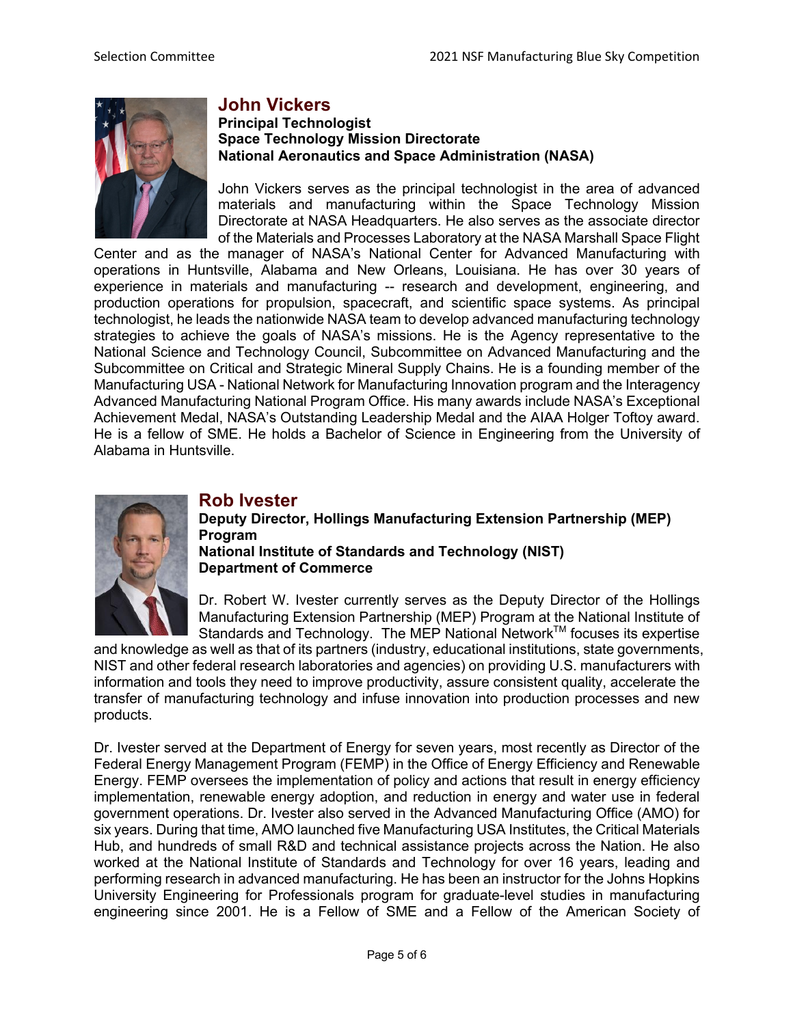

# **John Vickers**

#### **Principal Technologist Space Technology Mission Directorate National Aeronautics and Space Administration (NASA)**

John Vickers serves as the principal technologist in the area of advanced materials and manufacturing within the Space Technology Mission Directorate at NASA Headquarters. He also serves as the associate director of the Materials and Processes Laboratory at the NASA Marshall Space Flight

Center and as the manager of NASA's National Center for Advanced Manufacturing with operations in Huntsville, Alabama and New Orleans, Louisiana. He has over 30 years of experience in materials and manufacturing -- research and development, engineering, and production operations for propulsion, spacecraft, and scientific space systems. As principal technologist, he leads the nationwide NASA team to develop advanced manufacturing technology strategies to achieve the goals of NASA's missions. He is the Agency representative to the National Science and Technology Council, Subcommittee on Advanced Manufacturing and the Subcommittee on Critical and Strategic Mineral Supply Chains. He is a founding member of the Manufacturing USA - National Network for Manufacturing Innovation program and the Interagency Advanced Manufacturing National Program Office. His many awards include NASA's Exceptional Achievement Medal, NASA's Outstanding Leadership Medal and the AIAA Holger Toftoy award. He is a fellow of SME. He holds a Bachelor of Science in Engineering from the University of Alabama in Huntsville.



### **Rob Ivester**

**Deputy Director, Hollings Manufacturing Extension Partnership (MEP) Program National Institute of Standards and Technology (NIST) Department of Commerce**

Dr. Robert W. Ivester currently serves as the Deputy Director of the Hollings Manufacturing Extension Partnership (MEP) Program at the National Institute of Standards and Technology. The MEP National Network™ focuses its expertise

and knowledge as well as that of its partners (industry, educational institutions, state governments, NIST and other federal research laboratories and agencies) on providing U.S. manufacturers with information and tools they need to improve productivity, assure consistent quality, accelerate the transfer of manufacturing technology and infuse innovation into production processes and new products.

Dr. Ivester served at the Department of Energy for seven years, most recently as Director of the Federal Energy Management Program (FEMP) in the Office of Energy Efficiency and Renewable Energy. FEMP oversees the implementation of policy and actions that result in energy efficiency implementation, renewable energy adoption, and reduction in energy and water use in federal government operations. Dr. Ivester also served in the Advanced Manufacturing Office (AMO) for six years. During that time, AMO launched five Manufacturing USA Institutes, the Critical Materials Hub, and hundreds of small R&D and technical assistance projects across the Nation. He also worked at the National Institute of Standards and Technology for over 16 years, leading and performing research in advanced manufacturing. He has been an instructor for the Johns Hopkins University Engineering for Professionals program for graduate-level studies in manufacturing engineering since 2001. He is a Fellow of SME and a Fellow of the American Society of